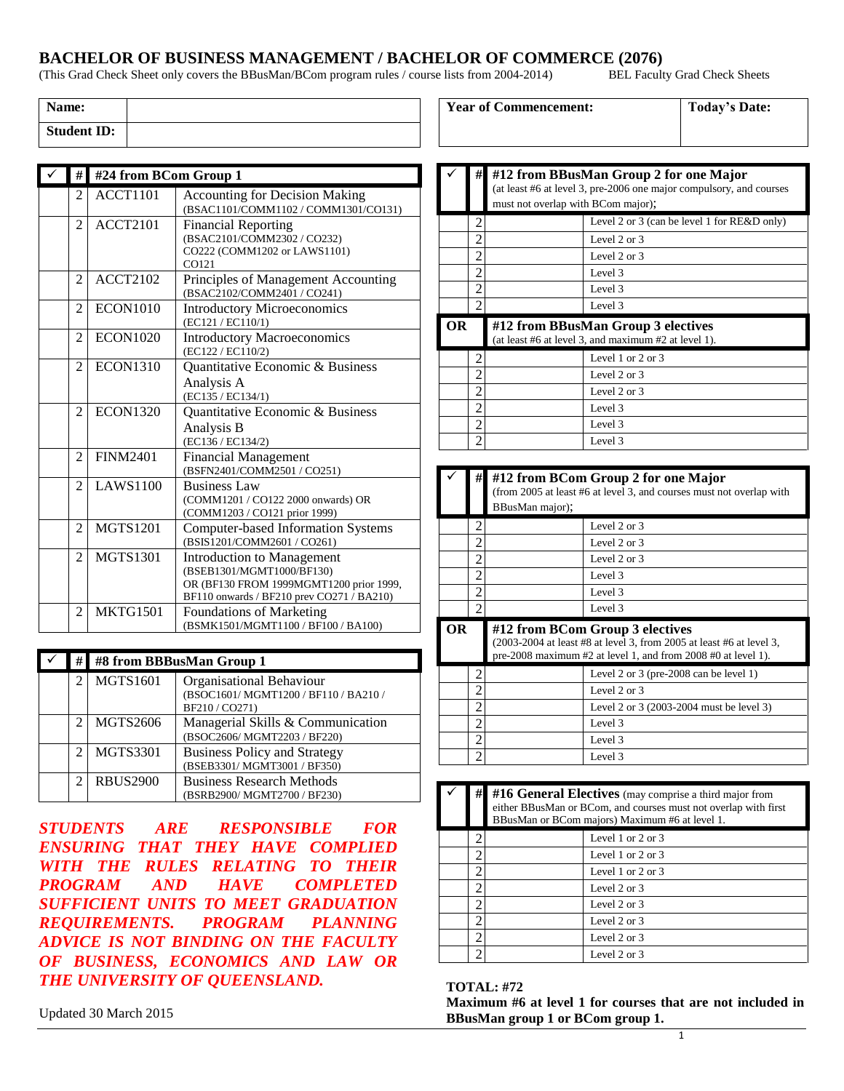# **BACHELOR OF BUSINESS MANAGEMENT / BACHELOR OF COMMERCE (2076)**<br>(This Grad Check Sheet only covers the BBusMan/BCom program rules / course lists from 2004-2014) BEL Faculty Grad Check Sheets

(This Grad Check Sheet only covers the BBusMan/BCom program rules / course lists from 2004-2014)

**Name: Student ID:**

| #              | #24 from BCom Group 1 |                                                                                                                                                 |
|----------------|-----------------------|-------------------------------------------------------------------------------------------------------------------------------------------------|
| $\mathfrak{D}$ | <b>ACCT1101</b>       | <b>Accounting for Decision Making</b><br>(BSAC1101/COMM1102 / COMM1301/CO131)                                                                   |
| $\mathfrak{D}$ | <b>ACCT2101</b>       | <b>Financial Reporting</b><br>(BSAC2101/COMM2302 / CO232)<br>CO222 (COMM1202 or LAWS1101)<br>CO121                                              |
| $\overline{c}$ | <b>ACCT2102</b>       | Principles of Management Accounting<br>(BSAC2102/COMM2401 / CO241)                                                                              |
| $\overline{c}$ | <b>ECON1010</b>       | <b>Introductory Microeconomics</b><br>(EC121 / EC110/1)                                                                                         |
| $\mathfrak{D}$ | <b>ECON1020</b>       | <b>Introductory Macroeconomics</b><br>(EC122 / EC110/2)                                                                                         |
| $\overline{c}$ | <b>ECON1310</b>       | Quantitative Economic & Business<br>Analysis A<br>(EC135 / EC134/1)                                                                             |
| $\overline{c}$ | <b>ECON1320</b>       | Quantitative Economic & Business<br>Analysis B<br>(EC136 / EC134/2)                                                                             |
| $\overline{c}$ | <b>FINM2401</b>       | <b>Financial Management</b><br>(BSFN2401/COMM2501 / CO251)                                                                                      |
| $\mathfrak{D}$ | <b>LAWS1100</b>       | <b>Business Law</b><br>(COMM1201 / CO122 2000 onwards) OR<br>(COMM1203 / CO121 prior 1999)                                                      |
| $\mathfrak{D}$ | <b>MGTS1201</b>       | <b>Computer-based Information Systems</b><br>(BSIS1201/COMM2601 / CO261)                                                                        |
| $\overline{c}$ | <b>MGTS1301</b>       | Introduction to Management<br>(BSEB1301/MGMT1000/BF130)<br>OR (BF130 FROM 1999MGMT1200 prior 1999,<br>BF110 onwards / BF210 prev CO271 / BA210) |
| $\overline{c}$ | MKTG1501              | <b>Foundations of Marketing</b><br>(BSMK1501/MGMT1100 / BF100 / BA100)                                                                          |

| #                           | #8 from BBBusMan Group 1 |                                                                             |
|-----------------------------|--------------------------|-----------------------------------------------------------------------------|
| $\mathfrak{D}$              | <b>MGTS1601</b>          | Organisational Behaviour<br>(BSOC1601/MGMT1200/BF110/BA210/<br>BF210/CO271) |
|                             | MGTS2606                 | Managerial Skills & Communication<br>(BSOC2606/MGMT2203/BF220)              |
| $\mathcal{D}_{\mathcal{L}}$ | <b>MGTS3301</b>          | <b>Business Policy and Strategy</b><br>(BSEB3301/MGMT3001 / BF350)          |
|                             | <b>RBUS2900</b>          | <b>Business Research Methods</b><br>(BSRB2900/MGMT2700/BF230)               |

*STUDENTS ARE RESPONSIBLE FOR ENSURING THAT THEY HAVE COMPLIED WITH THE RULES RELATING TO THEIR PROGRAM AND HAVE COMPLETED SUFFICIENT UNITS TO MEET GRADUATION REQUIREMENTS. PROGRAM PLANNING ADVICE IS NOT BINDING ON THE FACULTY OF BUSINESS, ECONOMICS AND LAW OR THE UNIVERSITY OF QUEENSLAND.* 

Updated 30 March 2015

**Year of Commencement: Today's Date:**

|    | #              | #12 from BBusMan Group 2 for one Major<br>(at least #6 at level 3, pre-2006 one major compulsory, and courses<br>must not overlap with BCom major); |
|----|----------------|-----------------------------------------------------------------------------------------------------------------------------------------------------|
|    | $\overline{c}$ | Level 2 or 3 (can be level 1 for $RE&D$ only)                                                                                                       |
|    | $\mathfrak{D}$ | Level 2 or 3                                                                                                                                        |
|    | $\mathfrak{D}$ | Level 2 or 3                                                                                                                                        |
|    | $\overline{c}$ | Level 3                                                                                                                                             |
|    | $\overline{c}$ | Level 3                                                                                                                                             |
|    |                |                                                                                                                                                     |
|    | $\overline{2}$ | Level 3                                                                                                                                             |
| ОR |                | #12 from BBusMan Group 3 electives<br>(at least #6 at level 3, and maximum #2 at level 1).                                                          |
|    | $\overline{c}$ | Level 1 or 2 or 3                                                                                                                                   |
|    | $\overline{c}$ | Level 2 or 3                                                                                                                                        |
|    | $\mathfrak{D}$ | Level 2 or 3                                                                                                                                        |
|    | $\mathfrak{D}$ | Level 3                                                                                                                                             |
|    | $\overline{c}$ | Level 3                                                                                                                                             |

|           | #              | #12 from BCom Group 2 for one Major<br>(from 2005 at least #6 at level 3, and courses must not overlap with<br>BBusMan major);                                               |
|-----------|----------------|------------------------------------------------------------------------------------------------------------------------------------------------------------------------------|
|           | 2              | Level $2$ or $3$                                                                                                                                                             |
|           | $\mathfrak{D}$ | Level $2$ or $3$                                                                                                                                                             |
|           | 2              | Level 2 or 3                                                                                                                                                                 |
|           | 2              | Level 3                                                                                                                                                                      |
|           | $\overline{2}$ | Level 3                                                                                                                                                                      |
|           |                | Level 3                                                                                                                                                                      |
|           |                |                                                                                                                                                                              |
| <b>OR</b> |                | #12 from BCom Group 3 electives<br>(2003-2004 at least #8 at level 3, from 2005 at least #6 at level 3,<br>pre-2008 maximum $#2$ at level 1, and from 2008 $#0$ at level 1). |
|           | 2              | Level 2 or 3 (pre-2008 can be level 1)                                                                                                                                       |
|           | $\mathfrak{D}$ | Level 2 or 3                                                                                                                                                                 |
|           | 2              | Level 2 or 3 (2003-2004 must be level 3)                                                                                                                                     |
|           | $\overline{c}$ | Level 3                                                                                                                                                                      |
|           | $\mathcal{P}$  | Level 3                                                                                                                                                                      |

| #                           | #16 General Electives (may comprise a third major from<br>either BBusMan or BCom, and courses must not overlap with first<br>BBusMan or BCom majors) Maximum #6 at level 1. |
|-----------------------------|-----------------------------------------------------------------------------------------------------------------------------------------------------------------------------|
| 2                           | Level 1 or 2 or 3                                                                                                                                                           |
| ↑                           | Level 1 or 2 or 3                                                                                                                                                           |
| ႒                           | Level 1 or 2 or 3                                                                                                                                                           |
| C                           | Level 2 or 3                                                                                                                                                                |
| 2                           | Level $2$ or $3$                                                                                                                                                            |
| $\mathcal{D}_{\mathcal{A}}$ | Level $2$ or $3$                                                                                                                                                            |
| ി                           | Level 2 or 3                                                                                                                                                                |
| ◠                           | Level 2 or 3                                                                                                                                                                |

**TOTAL: #72**

**Maximum #6 at level 1 for courses that are not included in BBusMan group 1 or BCom group 1.**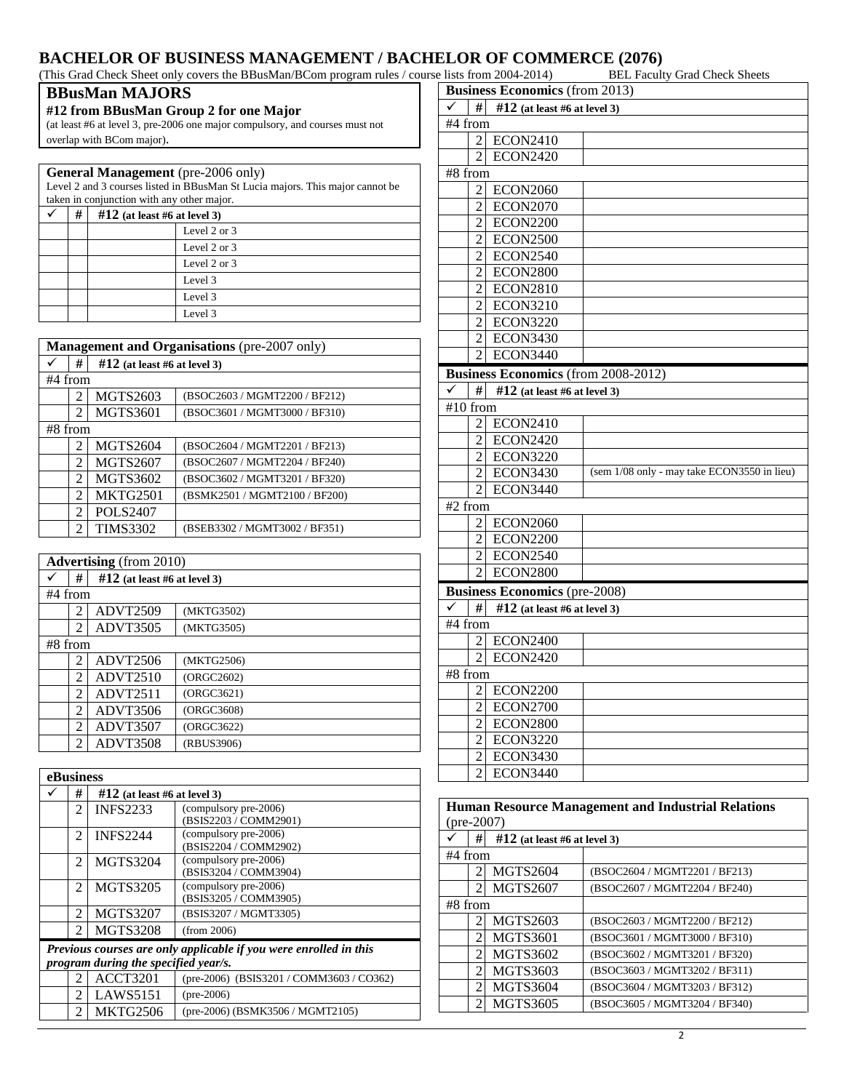# **BACHELOR OF BUSINESS MANAGEMENT / BACHELOR OF COMMERCE (2076)**

| (This Grad Check Sheet only covers the BBusMan/BCom program rules / course lists from 2004-2014)<br><b>BEL Faculty Grad Check Sheets</b> |                                       |  |  |  |
|------------------------------------------------------------------------------------------------------------------------------------------|---------------------------------------|--|--|--|
| <b>BBusMan MAJORS</b>                                                                                                                    | <b>Business Economics</b> (from 2013) |  |  |  |
| #12 from BBusMan Group 2 for one Major                                                                                                   | #<br>$#12$ (at least #6 at level 3)   |  |  |  |
| (at least #6 at level 3, pre-2006 one major compulsory, and courses must not                                                             | $#4$ from                             |  |  |  |
| overlap with BCom major).                                                                                                                | <b>ECON2410</b><br>2 <sub>1</sub>     |  |  |  |
|                                                                                                                                          | <b>ECON2420</b><br><sup>2</sup>       |  |  |  |
| <b>General Management</b> (pre-2006 only)                                                                                                | $#8$ from                             |  |  |  |
| Level 2 and 3 courses listed in BBusMan St Lucia majors. This major cannot be                                                            | ECON2060                              |  |  |  |
| taken in conjunction with any other major.<br>$\#$   $\#$ 12 (at least $\#$ 6 at level 3)                                                | <b>ECON2070</b>                       |  |  |  |
|                                                                                                                                          |                                       |  |  |  |

| # | $#12$ (at least #6 at level 3) |              |
|---|--------------------------------|--------------|
|   |                                | Level 2 or 3 |
|   |                                | Level 2 or 3 |
|   |                                | Level 2 or 3 |
|   |                                | Level 3      |
|   |                                | Level 3      |
|   |                                | Level 3      |

|           | <b>Management and Organisations (pre-2007 only)</b> |                                |                               |  |
|-----------|-----------------------------------------------------|--------------------------------|-------------------------------|--|
|           | #                                                   | $#12$ (at least #6 at level 3) |                               |  |
| #4 from   |                                                     |                                |                               |  |
|           | 2                                                   | <b>MGTS2603</b>                | (BSOC2603 / MGMT2200 / BF212) |  |
|           | $\mathfrak{D}$                                      | <b>MGTS3601</b>                | (BSOC3601 / MGMT3000 / BF310) |  |
| $#8$ from |                                                     |                                |                               |  |
|           | 2                                                   | <b>MGTS2604</b>                | (BSOC2604 / MGMT2201 / BF213) |  |
|           | 2                                                   | <b>MGTS2607</b>                | (BSOC2607 / MGMT2204 / BF240) |  |
|           | 2                                                   | <b>MGTS3602</b>                | (BSOC3602 / MGMT3201 / BF320) |  |
|           | $\mathfrak{D}$                                      | <b>MKTG2501</b>                | (BSMK2501 / MGMT2100 / BF200) |  |
|           | 2                                                   | <b>POLS2407</b>                |                               |  |
|           | 2                                                   | <b>TIMS3302</b>                | (BSEB3302 / MGMT3002 / BF351) |  |

| <b>Advertising</b> (from 2010) |   |                 |                                |  |
|--------------------------------|---|-----------------|--------------------------------|--|
|                                | # |                 | $#12$ (at least #6 at level 3) |  |
| $#4$ from                      |   |                 |                                |  |
|                                | 2 | ADVT2509        | (MKTG3502)                     |  |
|                                | 2 | ADVT3505        | (MKTG3505)                     |  |
| #8 from                        |   |                 |                                |  |
|                                | 2 | ADVT2506        | (MKTG2506)                     |  |
|                                | 2 | <b>ADVT2510</b> | (ORGC2602)                     |  |
|                                | 2 | <b>ADVT2511</b> | (ORGC3621)                     |  |
|                                | 2 | ADVT3506        | (ORGC3608)                     |  |
|                                | 2 | ADVT3507        | (ORGC3622)                     |  |
|                                | 2 | ADVT3508        | (RBUS3906)                     |  |

| eBusiness |                                      |                                |                                                                   |
|-----------|--------------------------------------|--------------------------------|-------------------------------------------------------------------|
|           | #                                    | $#12$ (at least #6 at level 3) |                                                                   |
|           | $\overline{2}$                       | <b>INFS2233</b>                | (compulsory pre-2006)<br>(BSIS2203 / COMM2901)                    |
|           | $\mathfrak{D}$                       | <b>INFS2244</b>                | (compulsory pre-2006)<br>(BSIS2204 / COMM2902)                    |
|           | $\mathfrak{D}$                       | <b>MGTS3204</b>                | (compulsory pre-2006)<br>(BSIS3204 / COMM3904)                    |
|           | 2                                    | <b>MGTS3205</b>                | (compulsory pre-2006)<br>(BSIS3205 / COMM3905)                    |
|           | $\mathfrak{D}$                       | <b>MGTS3207</b>                | (BSIS3207 / MGMT3305)                                             |
|           | 2                                    | <b>MGTS3208</b>                | (from 2006)                                                       |
|           |                                      |                                | Previous courses are only applicable if you were enrolled in this |
|           | program during the specified year/s. |                                |                                                                   |
|           | 2                                    | <b>ACCT3201</b>                | $(\text{pre-2006})$ (BSIS3201 / COMM3603 / CO362)                 |
|           | $\mathfrak{D}$                       | <b>LAWS5151</b>                | $(pre-2006)$                                                      |
|           | 2                                    | <b>MKTG2506</b>                | (pre-2006) (BSMK3506 / MGMT2105)                                  |

|                                                   |                | $\mu_{\text{nonness}}$ Leonomics (nom 2019) |                                             |  |
|---------------------------------------------------|----------------|---------------------------------------------|---------------------------------------------|--|
| $\checkmark$<br>$\#$ #12 (at least #6 at level 3) |                |                                             |                                             |  |
| $\frac{1}{44}$ from                               |                |                                             |                                             |  |
|                                                   |                | 2 ECON2410                                  |                                             |  |
|                                                   | $\overline{2}$ | <b>ECON2420</b>                             |                                             |  |
| #8 from                                           |                |                                             |                                             |  |
|                                                   | $\overline{c}$ | <b>ECON2060</b>                             |                                             |  |
|                                                   | $\overline{c}$ | <b>ECON2070</b>                             |                                             |  |
|                                                   | $\overline{2}$ | <b>ECON2200</b>                             |                                             |  |
|                                                   | $\overline{2}$ | <b>ECON2500</b>                             |                                             |  |
|                                                   | $\overline{c}$ | <b>ECON2540</b>                             |                                             |  |
|                                                   | $\overline{2}$ | <b>ECON2800</b>                             |                                             |  |
|                                                   | $\overline{2}$ | <b>ECON2810</b>                             |                                             |  |
|                                                   | $\overline{2}$ | <b>ECON3210</b>                             |                                             |  |
|                                                   | $\overline{2}$ | <b>ECON3220</b>                             |                                             |  |
|                                                   | $\overline{2}$ | <b>ECON3430</b>                             |                                             |  |
|                                                   | $\overline{2}$ | <b>ECON3440</b>                             |                                             |  |
|                                                   |                | <b>Business Economics</b> (from 2008-2012)  |                                             |  |
| ✓                                                 | #              | #12 (at least #6 at level 3)                |                                             |  |
| #10 from                                          |                |                                             |                                             |  |
|                                                   | $\overline{2}$ | ECON2410                                    |                                             |  |
|                                                   | $\overline{2}$ | <b>ECON2420</b>                             |                                             |  |
|                                                   | $\overline{2}$ | <b>ECON3220</b>                             |                                             |  |
|                                                   | $\overline{2}$ | <b>ECON3430</b>                             | (sem 1/08 only - may take ECON3550 in lieu) |  |
|                                                   | $\overline{2}$ | <b>ECON3440</b>                             |                                             |  |
| #2 from                                           |                |                                             |                                             |  |
|                                                   | $\overline{2}$ | <b>ECON2060</b>                             |                                             |  |
|                                                   | $\overline{2}$ | <b>ECON2200</b>                             |                                             |  |
|                                                   | $\sqrt{2}$     | <b>ECON2540</b>                             |                                             |  |
|                                                   | $\mathfrak{D}$ | <b>ECON2800</b>                             |                                             |  |
|                                                   |                | <b>Business Economics</b> (pre-2008)        |                                             |  |
| ✓                                                 | #              | #12 (at least #6 at level 3)                |                                             |  |
| #4 from                                           |                |                                             |                                             |  |
|                                                   | 2              | <b>ECON2400</b>                             |                                             |  |
|                                                   | $\overline{2}$ | <b>ECON2420</b>                             |                                             |  |
| #8 from                                           |                |                                             |                                             |  |
|                                                   | 2              | <b>ECON2200</b>                             |                                             |  |
|                                                   | $\overline{2}$ | <b>ECON2700</b>                             |                                             |  |
|                                                   | $\overline{2}$ | <b>ECON2800</b>                             |                                             |  |
|                                                   | $\overline{2}$ | <b>ECON3220</b>                             |                                             |  |
|                                                   | $\overline{2}$ | <b>ECON3430</b>                             |                                             |  |
|                                                   | $\overline{2}$ | <b>ECON3440</b>                             |                                             |  |
|                                                   |                |                                             |                                             |  |

|           | <b>Human Resource Management and Industrial Relations</b> |                                |                               |  |
|-----------|-----------------------------------------------------------|--------------------------------|-------------------------------|--|
|           | $(\text{pre-2007})$                                       |                                |                               |  |
|           | #                                                         | $#12$ (at least #6 at level 3) |                               |  |
| $#4$ from |                                                           |                                |                               |  |
|           | 2                                                         | <b>MGTS2604</b>                | (BSOC2604 / MGMT2201 / BF213) |  |
|           | 2                                                         | MGTS2607                       | (BSOC2607 / MGMT2204 / BF240) |  |
| $#8$ from |                                                           |                                |                               |  |
|           | 2                                                         | <b>MGTS2603</b>                | (BSOC2603 / MGMT2200 / BF212) |  |
|           | 2                                                         | <b>MGTS3601</b>                | (BSOC3601 / MGMT3000 / BF310) |  |
|           | 2                                                         | MGTS3602                       | (BSOC3602 / MGMT3201 / BF320) |  |
|           | $\mathfrak{D}$                                            | <b>MGTS3603</b>                | (BSOC3603 / MGMT3202 / BF311) |  |
|           | $\mathcal{D}_{\mathcal{L}}$                               | <b>MGTS3604</b>                | (BSOC3604 / MGMT3203 / BF312) |  |
|           | $\mathcal{L}$                                             | <b>MGTS3605</b>                | (BSOC3605 / MGMT3204 / BF340) |  |
|           |                                                           |                                |                               |  |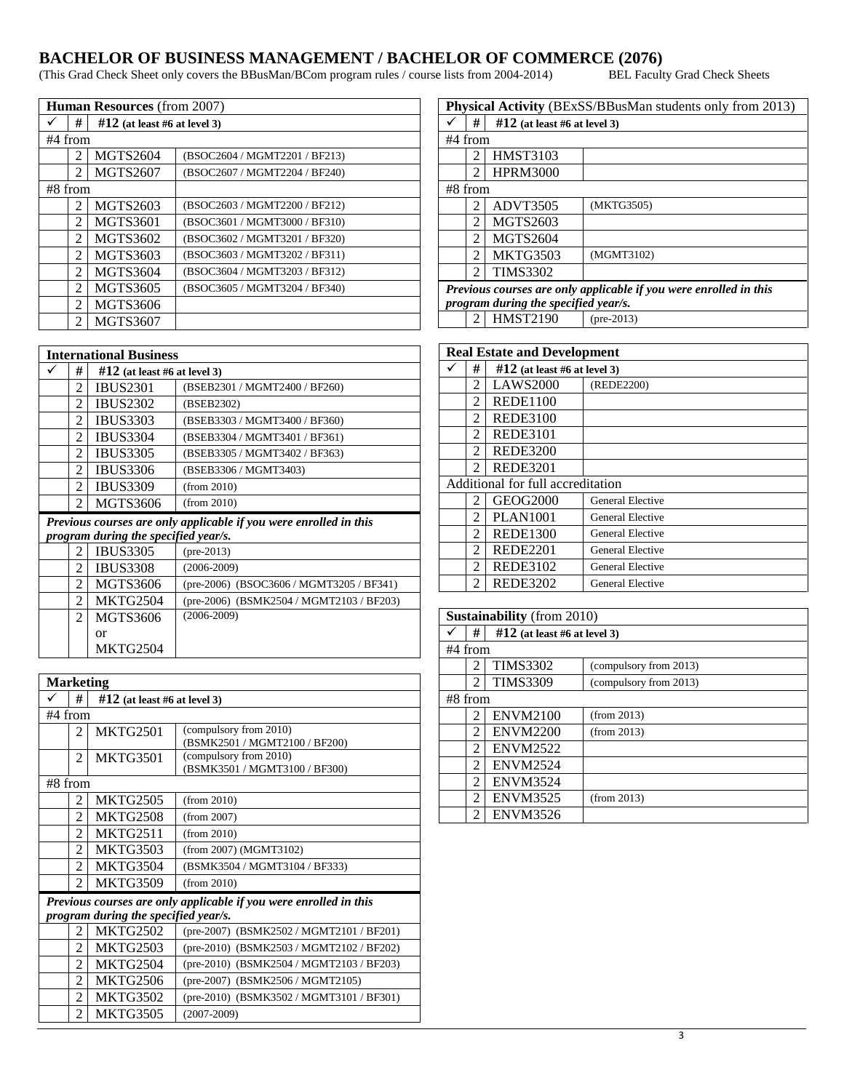## **BACHELOR OF BUSINESS MANAGEMENT / BACHELOR OF COMMERCE (2076)**

(This Grad Check Sheet only covers the BBusMan/BCom program rules / course lists from 2004-2014) BEL Faculty Grad Check Sheets

| <b>Human Resources</b> (from 2007) |   |                                |                               |  |
|------------------------------------|---|--------------------------------|-------------------------------|--|
|                                    | # | $#12$ (at least #6 at level 3) |                               |  |
| #4 from                            |   |                                |                               |  |
|                                    | 2 | MGTS2604                       | (BSOC2604 / MGMT2201 / BF213) |  |
|                                    | 2 | MGTS2607                       | (BSOC2607 / MGMT2204 / BF240) |  |
| $#8$ from                          |   |                                |                               |  |
|                                    | 2 | MGTS2603                       | (BSOC2603 / MGMT2200 / BF212) |  |
|                                    | 2 | MGTS3601                       | (BSOC3601 / MGMT3000 / BF310) |  |
|                                    | 2 | <b>MGTS3602</b>                | (BSOC3602 / MGMT3201 / BF320) |  |
|                                    | 2 | MGTS3603                       | (BSOC3603 / MGMT3202 / BF311) |  |
|                                    | 2 | MGTS3604                       | (BSOC3604 / MGMT3203 / BF312) |  |
|                                    | 2 | MGTS3605                       | (BSOC3605 / MGMT3204 / BF340) |  |
|                                    | 2 | MGTS3606                       |                               |  |
|                                    | 2 | MGTS3607                       |                               |  |

| <b>International Business</b> |                                                                   |                                 |                                          |  |
|-------------------------------|-------------------------------------------------------------------|---------------------------------|------------------------------------------|--|
|                               | #                                                                 | $\#12$ (at least #6 at level 3) |                                          |  |
|                               | 2                                                                 | <b>IBUS2301</b>                 | (BSEB2301 / MGMT2400 / BF260)            |  |
|                               | 2                                                                 | <b>IBUS2302</b>                 | (BSEB2302)                               |  |
|                               | 2                                                                 | <b>IBUS3303</b>                 | (BSEB3303 / MGMT3400 / BF360)            |  |
|                               | $\mathfrak{D}$                                                    | <b>IBUS3304</b>                 | (BSEB3304 / MGMT3401 / BF361)            |  |
|                               | $\mathfrak{D}$                                                    | <b>IBUS3305</b>                 | (BSEB3305 / MGMT3402 / BF363)            |  |
|                               | $\mathfrak{D}$                                                    | <b>IBUS3306</b>                 | (BSEB3306 / MGMT3403)                    |  |
|                               | $\mathcal{D}_{\cdot}$                                             | <b>IBUS3309</b>                 | (from 2010)                              |  |
|                               | 2                                                                 | <b>MGTS3606</b>                 | (from 2010)                              |  |
|                               | Previous courses are only applicable if you were enrolled in this |                                 |                                          |  |
|                               | program during the specified year/s.                              |                                 |                                          |  |
|                               | 2                                                                 | <b>IBUS3305</b>                 | $(pre-2013)$                             |  |
|                               | 2                                                                 | <b>IBUS3308</b>                 | $(2006 - 2009)$                          |  |
|                               | 2                                                                 | MGTS3606                        | (pre-2006) (BSOC3606 / MGMT3205 / BF341) |  |
|                               | $\mathfrak{D}$                                                    | MKTG2504                        | (pre-2006) (BSMK2504 / MGMT2103 / BF203) |  |
|                               | 2                                                                 | MGTS3606                        | $(2006 - 2009)$                          |  |
|                               |                                                                   | or                              |                                          |  |
|                               |                                                                   | MKTG2504                        |                                          |  |

|           | <b>Marketing</b>                                                  |                                      |                                                         |  |  |
|-----------|-------------------------------------------------------------------|--------------------------------------|---------------------------------------------------------|--|--|
|           | #                                                                 | $\#12$ (at least #6 at level 3)      |                                                         |  |  |
| $#4$ from |                                                                   |                                      |                                                         |  |  |
|           | 2                                                                 | <b>MKTG2501</b>                      | (compulsory from 2010)<br>(BSMK2501 / MGMT2100 / BF200) |  |  |
|           | $\mathfrak{D}$                                                    | MKTG3501                             | (compulsory from 2010)<br>(BSMK3501 / MGMT3100 / BF300) |  |  |
| $#8$ from |                                                                   |                                      |                                                         |  |  |
|           | $\overline{c}$                                                    | <b>MKTG2505</b>                      | (from 2010)                                             |  |  |
|           | $\mathfrak{D}$                                                    | <b>MKTG2508</b>                      | (from 2007)                                             |  |  |
|           | $\mathfrak{D}$                                                    | MKTG2511                             | (from 2010)                                             |  |  |
|           | 2                                                                 | <b>MKTG3503</b>                      | (from 2007) (MGMT3102)                                  |  |  |
|           | $\mathfrak{D}$                                                    | <b>MKTG3504</b>                      | (BSMK3504 / MGMT3104 / BF333)                           |  |  |
|           | $\mathfrak{D}$                                                    | MKTG3509                             | (from 2010)                                             |  |  |
|           | Previous courses are only applicable if you were enrolled in this |                                      |                                                         |  |  |
|           |                                                                   | program during the specified year/s. |                                                         |  |  |
|           | $\mathfrak{D}$                                                    | <b>MKTG2502</b>                      | (pre-2007) (BSMK2502 / MGMT2101 / BF201)                |  |  |
|           | $\overline{c}$                                                    | <b>MKTG2503</b>                      | (pre-2010) (BSMK2503 / MGMT2102 / BF202)                |  |  |
|           | 2                                                                 | MKTG2504                             | (pre-2010) (BSMK2504 / MGMT2103 / BF203)                |  |  |
|           | $\overline{c}$                                                    | <b>MKTG2506</b>                      | (pre-2007) (BSMK2506 / MGMT2105)                        |  |  |
|           | 2                                                                 | <b>MKTG3502</b>                      | (pre-2010) (BSMK3502 / MGMT3101 / BF301)                |  |  |
|           | 2                                                                 | <b>MKTG3505</b>                      | $(2007 - 2009)$                                         |  |  |

|                                                                   | <b>Physical Activity</b> (BExSS/BBusMan students only from 2013) |                                |              |
|-------------------------------------------------------------------|------------------------------------------------------------------|--------------------------------|--------------|
|                                                                   | #                                                                | $#12$ (at least #6 at level 3) |              |
| $#4$ from                                                         |                                                                  |                                |              |
|                                                                   |                                                                  | <b>HMST3103</b>                |              |
|                                                                   | 2                                                                | <b>HPRM3000</b>                |              |
|                                                                   | $#8$ from                                                        |                                |              |
|                                                                   | 2                                                                | ADVT3505                       | (MKTG3505)   |
|                                                                   | 2                                                                | <b>MGTS2603</b>                |              |
|                                                                   | 2                                                                | <b>MGTS2604</b>                |              |
|                                                                   | 2                                                                | <b>MKTG3503</b>                | (MGMT3102)   |
|                                                                   | 2                                                                | <b>TIMS3302</b>                |              |
| Previous courses are only applicable if you were enrolled in this |                                                                  |                                |              |
|                                                                   | program during the specified year/s.                             |                                |              |
|                                                                   | $\mathfrak{D}$                                                   | <b>HMST2190</b>                | $(pre-2013)$ |

| <b>Real Estate and Development</b> |                |                                   |                         |  |
|------------------------------------|----------------|-----------------------------------|-------------------------|--|
|                                    | #              | $#12$ (at least #6 at level 3)    |                         |  |
|                                    | $\mathfrak{D}$ | <b>LAWS2000</b>                   | (REDE2200)              |  |
|                                    | 2              | <b>REDE1100</b>                   |                         |  |
|                                    | $\mathfrak{D}$ | <b>REDE3100</b>                   |                         |  |
|                                    | 2              | <b>REDE3101</b>                   |                         |  |
|                                    | $\mathfrak{D}$ | <b>REDE3200</b>                   |                         |  |
|                                    | 2              | <b>REDE3201</b>                   |                         |  |
|                                    |                | Additional for full accreditation |                         |  |
|                                    | $\mathfrak{D}$ | <b>GEOG2000</b>                   | <b>General Elective</b> |  |
|                                    | $\mathfrak{D}$ | <b>PLAN1001</b>                   | General Elective        |  |
|                                    | $\mathfrak{D}$ | <b>REDE1300</b>                   | <b>General Elective</b> |  |
|                                    | $\mathcal{L}$  | <b>REDE2201</b>                   | <b>General Elective</b> |  |
|                                    | $\mathfrak{D}$ | REDE3102                          | <b>General Elective</b> |  |
|                                    | 2              | <b>REDE3202</b>                   | <b>General Elective</b> |  |

| <b>Sustainability</b> (from 2010) |                |                                |                        |  |
|-----------------------------------|----------------|--------------------------------|------------------------|--|
|                                   | #              | $#12$ (at least #6 at level 3) |                        |  |
| #4 from                           |                |                                |                        |  |
|                                   | 2              | <b>TIMS3302</b>                | (compulsory from 2013) |  |
|                                   | 2              | <b>TIMS3309</b>                | (compulsory from 2013) |  |
| $#8$ from                         |                |                                |                        |  |
|                                   | 2              | <b>ENVM2100</b>                | (from 2013)            |  |
|                                   | $\mathfrak{D}$ | <b>ENVM2200</b>                | (from 2013)            |  |
|                                   | 2              | <b>ENVM2522</b>                |                        |  |
|                                   | 2              | <b>ENVM2524</b>                |                        |  |
|                                   | 2              | <b>ENVM3524</b>                |                        |  |
|                                   | 2              | <b>ENVM3525</b>                | (from 2013)            |  |
|                                   | 2              | <b>ENVM3526</b>                |                        |  |